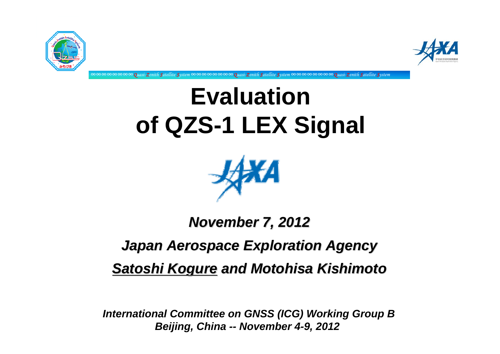



**Evaluation of QZS-1 LEX Signal**

∞∞∞∞∞∞∞∞*Quasi-Zenith Satellite System* ∞∞∞∞∞∞∞∞*Quasi-Zenith Satellite System* ∞∞∞∞∞∞∞∞*Quasi-Zenith Satellite System*



# *November 7, 2012 November 7, 2012 Japan Aerospace Exploration Agency Japan Aerospace Exploration Agency* **Satoshi Kogure and Motohisa Kishimoto**

*International Committee on GNSS (ICG) Working Group B Beijing, China -- November 4-9, 2012*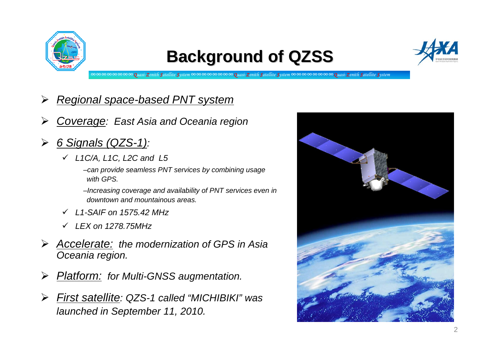

### **Background of QZSS Background of QZSS**



∞∞∞∞∞∞∞∞*Quasi-Zenith Satellite System* ∞∞∞∞∞∞∞∞*Quasi-Zenith Satellite System* ∞∞∞∞∞∞∞∞*Quasi-Zenith Satellite System*

- $\blacktriangleright$ *Regional space-based PNT system*
- $\blacktriangleright$ *Coverage: East Asia and Oceania region*
- $\blacktriangleright$  *6 Signals (QZS-1):*
	- 9 *L1C/A, L1C, L2C and L5*
		- –*can provide seamless PNT services by combining usage with GPS.*
		- –*Increasing coverage and availability of PNT services even in downtown and mountainous areas.*
	- 9 *L1-SAIF on 1575.42 MHz*
	- 9 *LEX on 1278.75MHz*
- ¾ *Accelerate: the modernization of GPS in Asia Oceania region.*
- ¾*Platform: for Multi-GNSS augmentation.*
- $\blacktriangleright$  *First satellite: QZS-1 called "MICHIBIKI" was launched in September 11, 2010.*

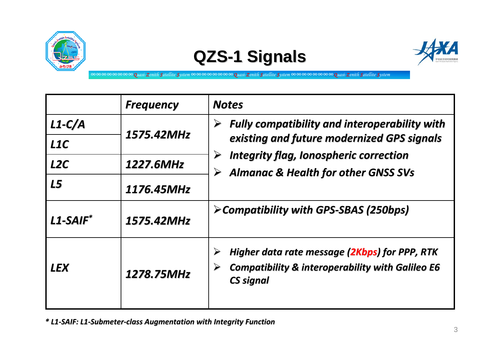

## **QZS-1 Signals**



∞∞∞∞∞∞∞∞*Quasi-Zenith Satellite System* ∞∞∞∞∞∞∞∞*Quasi-Zenith Satellite System* ∞∞∞∞∞∞∞∞*Quasi-Zenith Satellite System*

|             | <b>Frequency</b> | <b>Notes</b>                                                                                                                                                                                                         |
|-------------|------------------|----------------------------------------------------------------------------------------------------------------------------------------------------------------------------------------------------------------------|
| $L1-C/A$    | 1575.42MHz       | <b>Fully compatibility and interoperability with</b><br>➤<br>existing and future modernized GPS signals<br><b>Integrity flag, Ionospheric correction</b><br>▶<br><b>Almanac &amp; Health for other GNSS SVs</b><br>➤ |
| L1C         |                  |                                                                                                                                                                                                                      |
| L2C         | 1227.6MHz        |                                                                                                                                                                                                                      |
| <b>L5</b>   | 1176.45MHz       |                                                                                                                                                                                                                      |
| $L1-SAIF^*$ | 1575.42MHz       | > Compatibility with GPS-SBAS (250bps)                                                                                                                                                                               |
| <b>LEX</b>  | 1278.75MHz       | Higher data rate message (2Kbps) for PPP, RTK<br>$\blacktriangleright$<br><b>Compatibility &amp; interoperability with Galileo E6</b><br><b>CS signal</b>                                                            |

\* L1-SAIF: L1-Submeter-class Augmentation with Integrity Function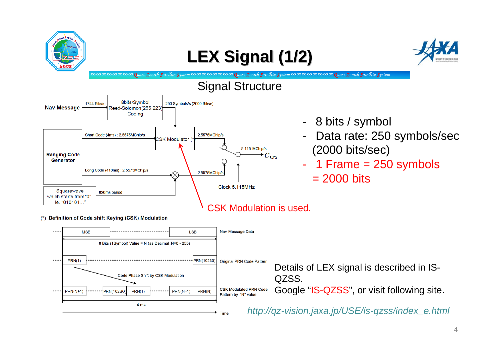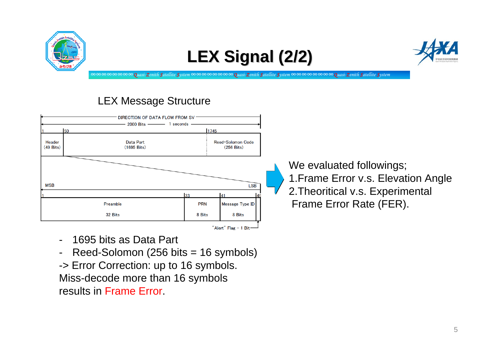

### **LEX Signal (2/2) LEX Signal (2/2)**



∞∞∞∞∞∞∞∞*Quasi-Zenith Satellite System* ∞∞∞∞∞∞∞∞*Quasi-Zenith Satellite System* ∞∞∞∞∞∞∞∞*Quasi-Zenith Satellite System*

#### LEX Message Structure



- -1695 bits as Data Part
- Reed-Solomon (256 bits = 16 symbols)

-> Error Correction: up to 16 symbols. Miss-decode more than 16 symbols results in Frame Error.

We evaluated followings; 1.Frame Error v.s. Elevation Angle 2.Theoritical v.s. Experimental Frame Error Rate (FER).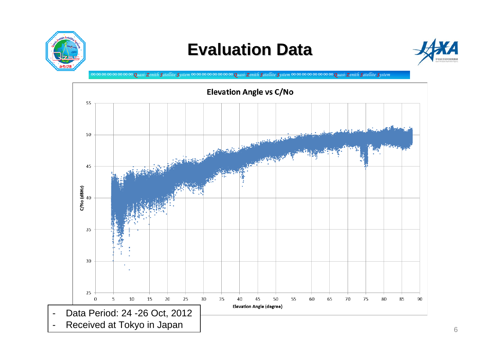

## **Evaluation Data Evaluation Data**



∞∞∞∞∞∞∞∞*Quasi-Zenith Satellite System* ∞∞∞∞∞∞∞∞*Quasi-Zenith Satellite System* ∞∞∞∞∞∞∞∞*Quasi-Zenith Satellite System*

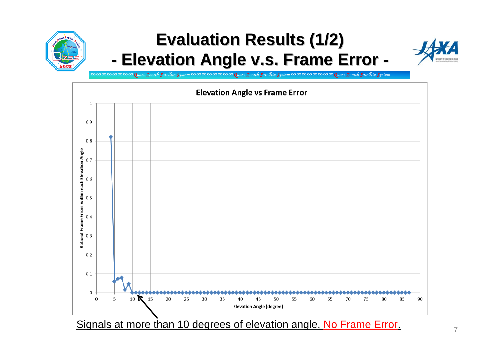

#### **Evaluation Results (1/2) Evaluation Results (1/2) -- Elevation Angle v.s. Frame Error -**



∞∞∞∞∞∞∞∞*Quasi-Zenith Satellite System* ∞∞∞∞∞∞∞∞*Quasi-Zenith Satellite System* ∞∞∞∞∞∞∞∞*Quasi-Zenith Satellite System*



Signals at more than 10 degrees of elevation angle, No Frame Error.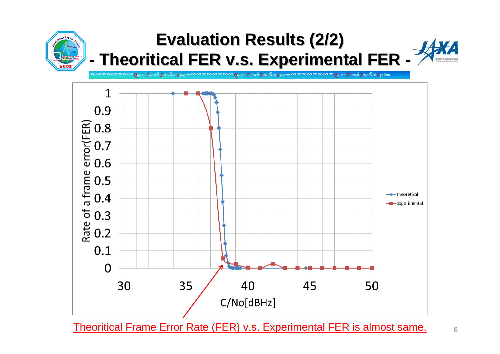

Theoritical Frame Error Rate (FER) v.s. Experimental FER is almost same.